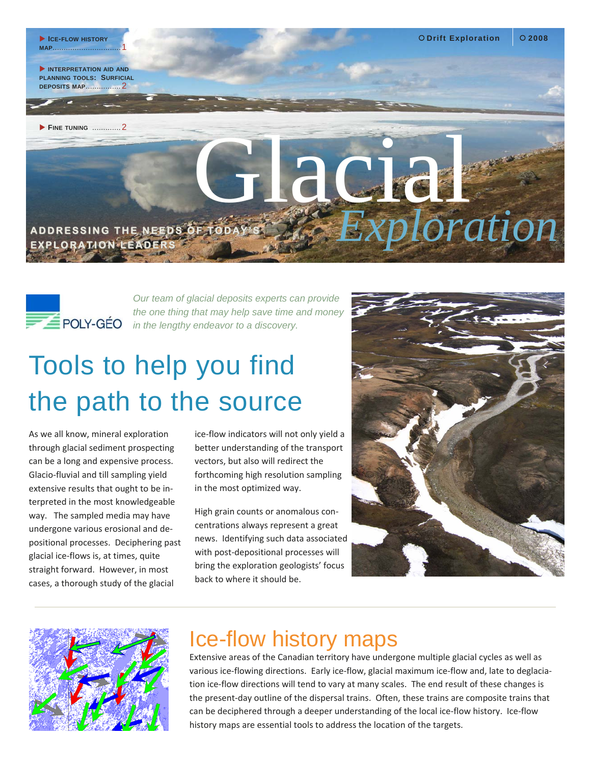



*Our team of glacial deposits experts can provide the one thing that may help save time and money in the lengthy endeavor to a discovery.* 

## Tools to help you find the path to the source

As we all know, mineral exploration through glacial sediment prospecting can be a long and expensive process. Glacio‐fluvial and till sampling yield extensive results that ought to be in‐ terpreted in the most knowledgeable way. The sampled media may have undergone various erosional and de‐ positional processes. Deciphering past glacial ice‐flows is, at times, quite straight forward. However, in most cases, a thorough study of the glacial

ice‐flow indicators will not only yield a better understanding of the transport vectors, but also will redirect the forthcoming high resolution sampling in the most optimized way.

High grain counts or anomalous con‐ centrations always represent a great news. Identifying such data associated with post-depositional processes will bring the exploration geologists' focus back to where it should be.





## Ice-flow history maps

Extensive areas of the Canadian territory have undergone multiple glacial cycles as well as various ice-flowing directions. Early ice-flow, glacial maximum ice-flow and, late to deglaciation ice-flow directions will tend to vary at many scales. The end result of these changes is the present-day outline of the dispersal trains. Often, these trains are composite trains that can be deciphered through a deeper understanding of the local ice-flow history. Ice-flow history maps are essential tools to address the location of the targets.